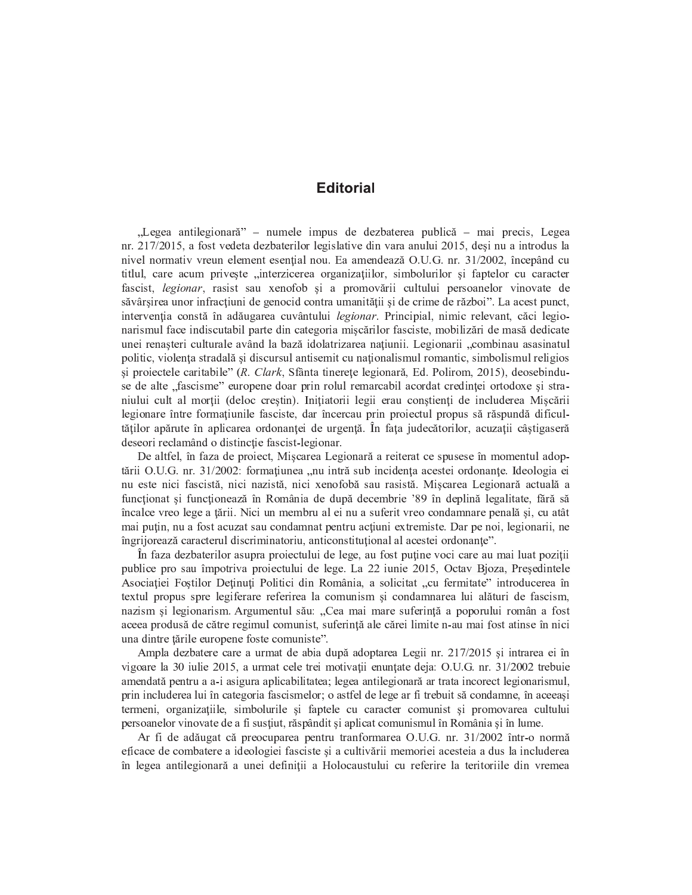## **Editorial**

"Legea antilegionară" – numele impus de dezbaterea publică – mai precis, Legea nr. 217/2015, a fost vedeta dezbaterilor legislative din vara anului 2015, desi nu a introdus la nivel normativ vreun element esențial nou. Ea amendează O.U.G. nr. 31/2002, începând cu titlul, care acum priveste "interzicerea organizatiilor, simbolurilor și faptelor cu caracter fascist, legionar, rasist sau xenofob și a promovării cultului persoanelor vinovate de săvârșirea unor infracțiuni de genocid contra umanității și de crime de război". La acest punct, intervenția constă în adăugarea cuvântului legionar. Principial, nimic relevant, căci legionarismul face indiscutabil parte din categoria miscărilor fasciste, mobilizări de masă dedicate unei renașteri culturale având la bază idolatrizarea națiunii. Legionarii "combinau asasinatul politic, violenta stradală și discursul antisemit cu nationalismul romantic, simbolismul religios si proiectele caritabile" (R. Clark, Sfânta tinerețe legionară, Ed. Polirom, 2015), deosebinduse de alte "fascisme" europene doar prin rolul remarcabil acordat credinței ortodoxe și straniului cult al morții (deloc creștin). Inițiatorii legii erau conștienți de includerea Mișcării legionare între formațiunile fasciste, dar încercau prin proiectul propus să răspundă dificultăților apărute în aplicarea ordonanței de urgență. În fața judecătorilor, acuzații câștigaseră deseori reclamând o distincție fascist-legionar.

De altfel, în faza de proiect, Mișcarea Legionară a reiterat ce spusese în momentul adoptării O.U.G. nr. 31/2002: formațiunea "nu intră sub incidența acestei ordonanțe. Ideologia ei nu este nici fascistă, nici nazistă, nici xenofobă sau rasistă. Mișcarea Legionară actuală a funcționat și funcționează în România de după decembrie '89 în deplină legalitate, fără să încalce vreo lege a tării. Nici un membru al ei nu a suferit vreo condamnare penală și, cu atât mai puțin, nu a fost acuzat sau condamnat pentru acțiuni extremiste. Dar pe noi, legionarii, ne îngrijorează caracterul discriminatoriu, anticonstituțional al acestei ordonanțe".

În faza dezbaterilor asupra projectului de lege, au fost puține voci care au mai luat poziții publice pro sau împotriva proiectului de lege. La 22 iunie 2015, Octav Bjoza, Președintele Asociației Foștilor Deținuți Politici din România, a solicitat "cu fermitate" introducerea în textul propus spre legiferare referirea la comunism și condamnarea lui alături de fascism, nazism si legionarism. Argumentul său: "Cea mai mare suferință a poporului român a fost aceea produsă de către regimul comunist, suferintă ale cărei limite n-au mai fost atinse în nici una dintre țările europene foste comuniste".

Ampla dezbatere care a urmat de abia după adoptarea Legii nr. 217/2015 și intrarea ei în vigoare la 30 julie 2015, a urmat cele trei motivații enunțate deja: O.U.G. nr. 31/2002 trebuie amendată pentru a a-i asigura aplicabilitatea; legea antilegionară ar trata incorect legionarismul, prin includerea lui în categoria fascismelor; o astfel de lege ar fi trebuit să condamne, în aceeași termeni, organizațiile, simbolurile și faptele cu caracter comunist și promovarea cultului persoanelor vinovate de a fi sustiut, răspândit și aplicat comunismul în România și în lume.

Ar fi de adăugat că preocuparea pentru tranformarea O.U.G. nr. 31/2002 într-o normă eficace de combatere a ideologiei fasciste si a cultivării memoriei acesteia a dus la includerea în legea antilegionară a unei definiții a Holocaustului cu referire la teritoriile din vremea